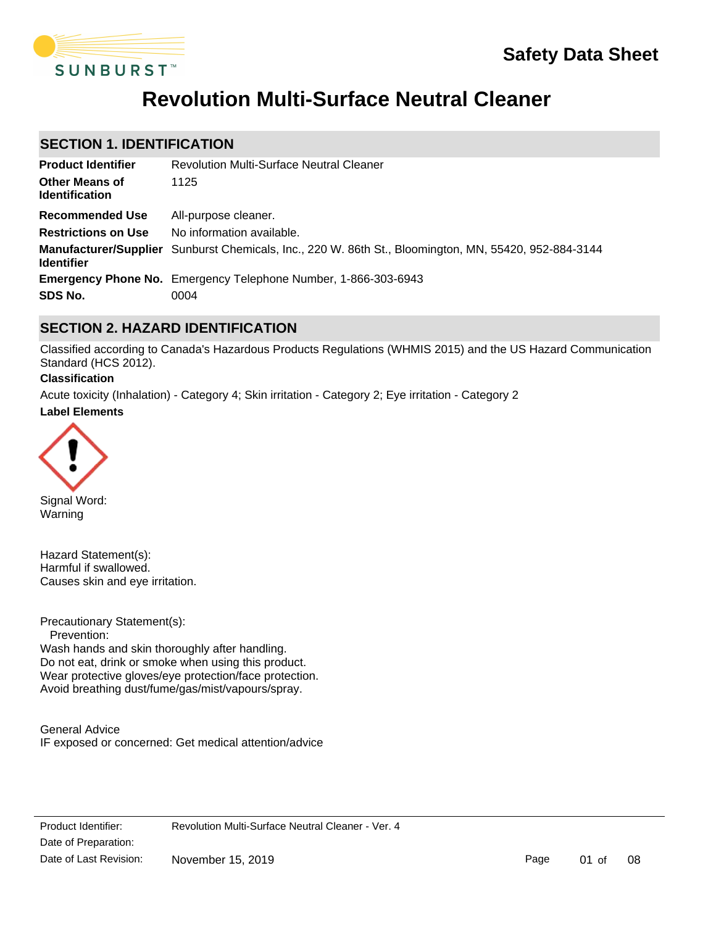

# **Revolution Multi-Surface Neutral Cleaner**

## **SECTION 1. IDENTIFICATION**

| <b>Product Identifier</b>                      | <b>Revolution Multi-Surface Neutral Cleaner</b>                                                       |
|------------------------------------------------|-------------------------------------------------------------------------------------------------------|
| <b>Other Means of</b><br><b>Identification</b> | 1125                                                                                                  |
| Recommended Use                                | All-purpose cleaner.                                                                                  |
| <b>Restrictions on Use</b>                     | No information available.                                                                             |
| <b>Identifier</b>                              | Manufacturer/Supplier Sunburst Chemicals, Inc., 220 W. 86th St., Bloomington, MN, 55420, 952-884-3144 |
|                                                | <b>Emergency Phone No.</b> Emergency Telephone Number, 1-866-303-6943                                 |
| SDS No.                                        | 0004                                                                                                  |

## **SECTION 2. HAZARD IDENTIFICATION**

Classified according to Canada's Hazardous Products Regulations (WHMIS 2015) and the US Hazard Communication Standard (HCS 2012).

### **Classification**

**Label Elements** Acute toxicity (Inhalation) - Category 4; Skin irritation - Category 2; Eye irritation - Category 2



Signal Word: Warning

Hazard Statement(s): Harmful if swallowed. Causes skin and eye irritation.

Precautionary Statement(s):

 Prevention: Wash hands and skin thoroughly after handling. Do not eat, drink or smoke when using this product. Wear protective gloves/eye protection/face protection. Avoid breathing dust/fume/gas/mist/vapours/spray.

General Advice IF exposed or concerned: Get medical attention/advice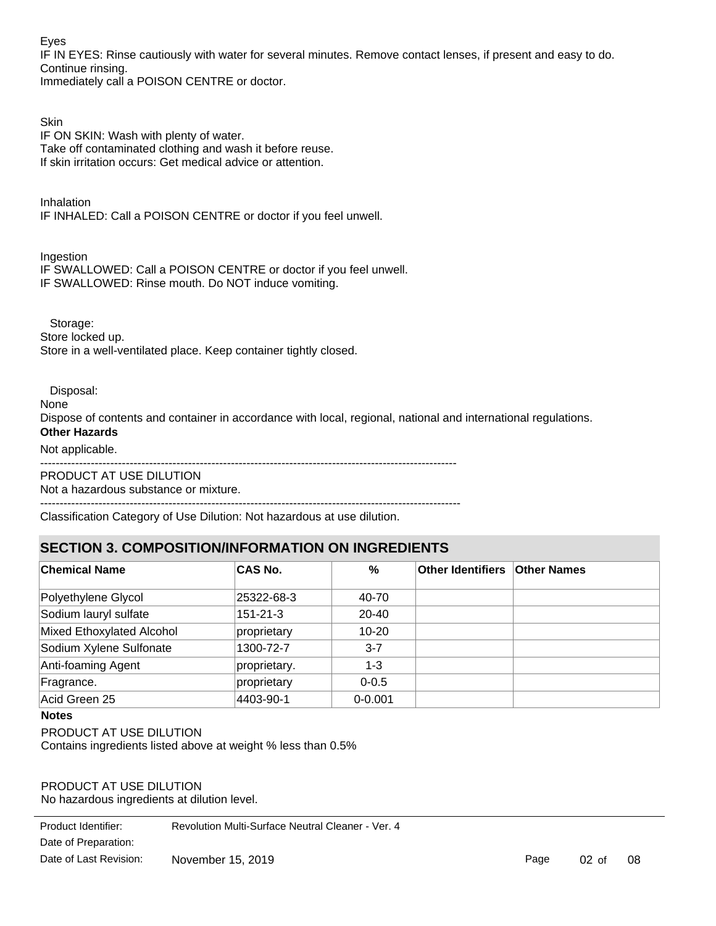Eyes

IF IN EYES: Rinse cautiously with water for several minutes. Remove contact lenses, if present and easy to do. Continue rinsing.

Immediately call a POISON CENTRE or doctor.

**Skin** IF ON SKIN: Wash with plenty of water. Take off contaminated clothing and wash it before reuse. If skin irritation occurs: Get medical advice or attention.

Inhalation IF INHALED: Call a POISON CENTRE or doctor if you feel unwell.

Ingestion

IF SWALLOWED: Call a POISON CENTRE or doctor if you feel unwell. IF SWALLOWED: Rinse mouth. Do NOT induce vomiting.

Storage:

Store locked up. Store in a well-ventilated place. Keep container tightly closed.

Disposal:

None

Dispose of contents and container in accordance with local, regional, national and international regulations.

## **Other Hazards**

Not applicable.

-----------------------------------------------------------------------------------------------------------

PRODUCT AT USE DILUTION Not a hazardous substance or mixture.

------------------------------------------------------------------------------------------------------------

Classification Category of Use Dilution: Not hazardous at use dilution.

## **SECTION 3. COMPOSITION/INFORMATION ON INGREDIENTS**

| <b>Chemical Name</b>      | <b>CAS No.</b> | %           | <b>Other Identifiers Other Names</b> |  |
|---------------------------|----------------|-------------|--------------------------------------|--|
| Polyethylene Glycol       | 25322-68-3     | 40-70       |                                      |  |
| Sodium lauryl sulfate     | $151 - 21 - 3$ | $20 - 40$   |                                      |  |
| Mixed Ethoxylated Alcohol | proprietary    | $10 - 20$   |                                      |  |
| Sodium Xylene Sulfonate   | 1300-72-7      | $3 - 7$     |                                      |  |
| Anti-foaming Agent        | proprietary.   | $1 - 3$     |                                      |  |
| Fragrance.                | proprietary    | $0 - 0.5$   |                                      |  |
| Acid Green 25             | 4403-90-1      | $0 - 0.001$ |                                      |  |

#### **Notes**

PRODUCT AT USE DILUTION

Contains ingredients listed above at weight % less than 0.5%

PRODUCT AT USE DILUTION No hazardous ingredients at dilution level.

Date of Preparation: Product Identifier: Revolution Multi-Surface Neutral Cleaner - Ver. 4 Date of Last Revision: November 15, 2019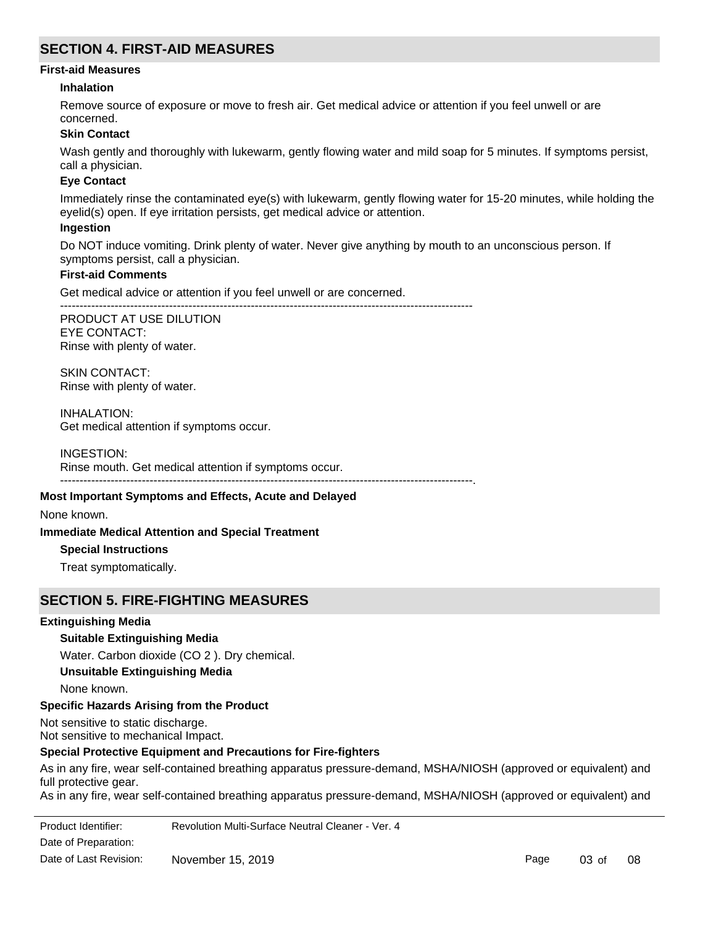## **SECTION 4. FIRST-AID MEASURES**

#### **First-aid Measures**

#### **Inhalation**

Remove source of exposure or move to fresh air. Get medical advice or attention if you feel unwell or are concerned.

#### **Skin Contact**

Wash gently and thoroughly with lukewarm, gently flowing water and mild soap for 5 minutes. If symptoms persist, call a physician.

#### **Eye Contact**

Immediately rinse the contaminated eye(s) with lukewarm, gently flowing water for 15-20 minutes, while holding the eyelid(s) open. If eye irritation persists, get medical advice or attention.

#### **Ingestion**

Do NOT induce vomiting. Drink plenty of water. Never give anything by mouth to an unconscious person. If symptoms persist, call a physician.

#### **First-aid Comments**

Get medical advice or attention if you feel unwell or are concerned.

----------------------------------------------------------------------------------------------------------

PRODUCT AT USE DILUTION EYE CONTACT: Rinse with plenty of water.

SKIN CONTACT: Rinse with plenty of water.

INHALATION: Get medical attention if symptoms occur.

INGESTION: Rinse mouth. Get medical attention if symptoms occur. ----------------------------------------------------------------------------------------------------------.

#### **Most Important Symptoms and Effects, Acute and Delayed**

None known.

#### **Immediate Medical Attention and Special Treatment**

#### **Special Instructions**

Treat symptomatically.

## **SECTION 5. FIRE-FIGHTING MEASURES**

## **Extinguishing Media**

## **Suitable Extinguishing Media**

Water. Carbon dioxide (CO 2 ). Dry chemical. **Unsuitable Extinguishing Media** None known.

#### **Specific Hazards Arising from the Product**

Not sensitive to static discharge. Not sensitive to mechanical Impact.

#### **Special Protective Equipment and Precautions for Fire-fighters**

As in any fire, wear self-contained breathing apparatus pressure-demand, MSHA/NIOSH (approved or equivalent) and full protective gear.

As in any fire, wear self-contained breathing apparatus pressure-demand, MSHA/NIOSH (approved or equivalent) and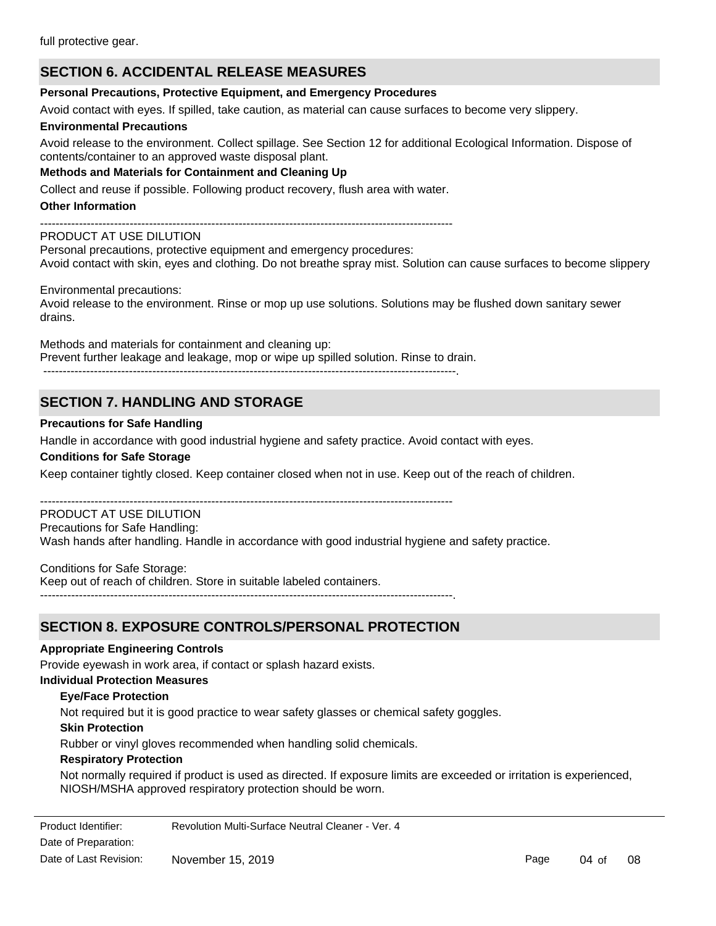## **SECTION 6. ACCIDENTAL RELEASE MEASURES**

#### **Personal Precautions, Protective Equipment, and Emergency Procedures**

Avoid contact with eyes. If spilled, take caution, as material can cause surfaces to become very slippery.

#### **Environmental Precautions**

Avoid release to the environment. Collect spillage. See Section 12 for additional Ecological Information. Dispose of contents/container to an approved waste disposal plant.

**Methods and Materials for Containment and Cleaning Up**

Collect and reuse if possible. Following product recovery, flush area with water.

#### **Other Information**

----------------------------------------------------------------------------------------------------------

## PRODUCT AT USE DILUTION

Personal precautions, protective equipment and emergency procedures: Avoid contact with skin, eyes and clothing. Do not breathe spray mist. Solution can cause surfaces to become slippery

Environmental precautions:

Avoid release to the environment. Rinse or mop up use solutions. Solutions may be flushed down sanitary sewer drains.

Methods and materials for containment and cleaning up: Prevent further leakage and leakage, mop or wipe up spilled solution. Rinse to drain. ----------------------------------------------------------------------------------------------------------.

# **SECTION 7. HANDLING AND STORAGE**

## **Precautions for Safe Handling**

Handle in accordance with good industrial hygiene and safety practice. Avoid contact with eyes.

## **Conditions for Safe Storage**

Keep container tightly closed. Keep container closed when not in use. Keep out of the reach of children.

#### ---------------------------------------------------------------------------------------------------------- PRODUCT AT USE DILUTION

## Precautions for Safe Handling:

Wash hands after handling. Handle in accordance with good industrial hygiene and safety practice.

Conditions for Safe Storage:

Keep out of reach of children. Store in suitable labeled containers.

----------------------------------------------------------------------------------------------------------.

## **SECTION 8. EXPOSURE CONTROLS/PERSONAL PROTECTION**

#### **Appropriate Engineering Controls**

Provide eyewash in work area, if contact or splash hazard exists.

## **Individual Protection Measures**

## **Eye/Face Protection**

Not required but it is good practice to wear safety glasses or chemical safety goggles.

#### **Skin Protection**

Rubber or vinyl gloves recommended when handling solid chemicals.

#### **Respiratory Protection**

Not normally required if product is used as directed. If exposure limits are exceeded or irritation is experienced, NIOSH/MSHA approved respiratory protection should be worn.

Product Identifier: Revolution Multi-Surface Neutral Cleaner - Ver. 4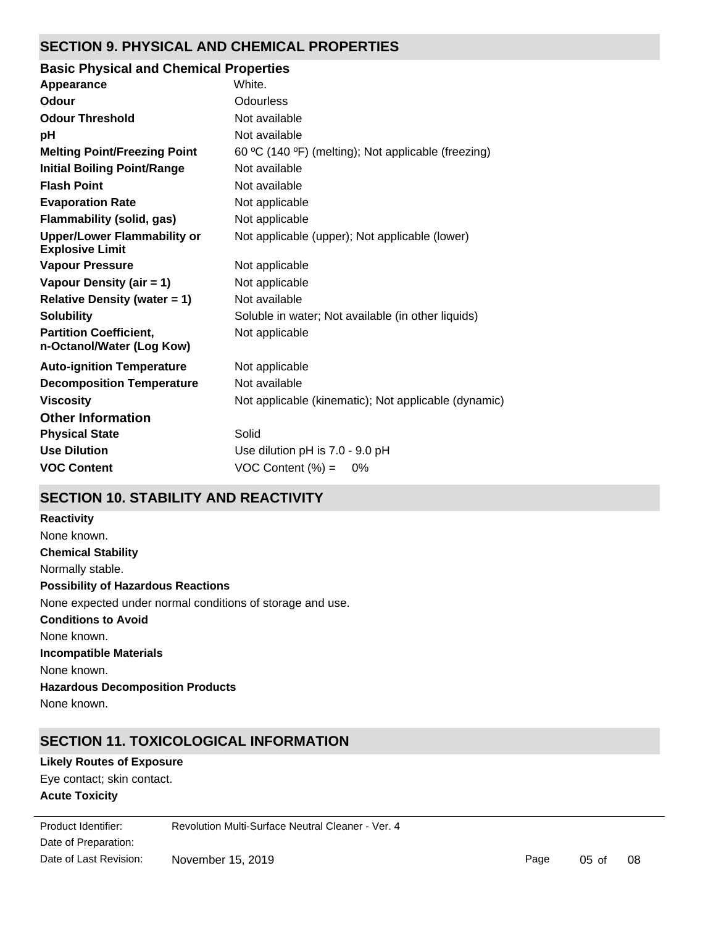## **SECTION 9. PHYSICAL AND CHEMICAL PROPERTIES**

| <b>Basic Physical and Chemical Properties</b>                |                                                      |
|--------------------------------------------------------------|------------------------------------------------------|
| Appearance                                                   | White.                                               |
| Odour                                                        | <b>Odourless</b>                                     |
| <b>Odour Threshold</b>                                       | Not available                                        |
| рH                                                           | Not available                                        |
| <b>Melting Point/Freezing Point</b>                          | 60 °C (140 °F) (melting); Not applicable (freezing)  |
| <b>Initial Boiling Point/Range</b>                           | Not available                                        |
| <b>Flash Point</b>                                           | Not available                                        |
| <b>Evaporation Rate</b>                                      | Not applicable                                       |
| Flammability (solid, gas)                                    | Not applicable                                       |
| <b>Upper/Lower Flammability or</b><br><b>Explosive Limit</b> | Not applicable (upper); Not applicable (lower)       |
| <b>Vapour Pressure</b>                                       | Not applicable                                       |
| Vapour Density (air = 1)                                     | Not applicable                                       |
| <b>Relative Density (water = 1)</b>                          | Not available                                        |
| <b>Solubility</b>                                            | Soluble in water; Not available (in other liquids)   |
| <b>Partition Coefficient,</b><br>n-Octanol/Water (Log Kow)   | Not applicable                                       |
| <b>Auto-ignition Temperature</b>                             | Not applicable                                       |
| <b>Decomposition Temperature</b>                             | Not available                                        |
| <b>Viscosity</b>                                             | Not applicable (kinematic); Not applicable (dynamic) |
| <b>Other Information</b>                                     |                                                      |
| <b>Physical State</b>                                        | Solid                                                |
| <b>Use Dilution</b>                                          | Use dilution pH is 7.0 - 9.0 pH                      |
| <b>VOC Content</b>                                           | VOC Content $(\%) =$<br>0%                           |

## **SECTION 10. STABILITY AND REACTIVITY**

**Chemical Stability** Normally stable. **Conditions to Avoid** None known. **Incompatible Materials** None known. **Hazardous Decomposition Products** None known. **Possibility of Hazardous Reactions** None expected under normal conditions of storage and use. **Reactivity** None known.

## **SECTION 11. TOXICOLOGICAL INFORMATION**

**Acute Toxicity** Eye contact; skin contact. **Likely Routes of Exposure**

LC50: No information was located. Date of Preparation: Product Identifier: Revolution Multi-Surface Neutral Cleaner - Ver. 4 Date of Last Revision: November 15, 2019

Page 05 of 08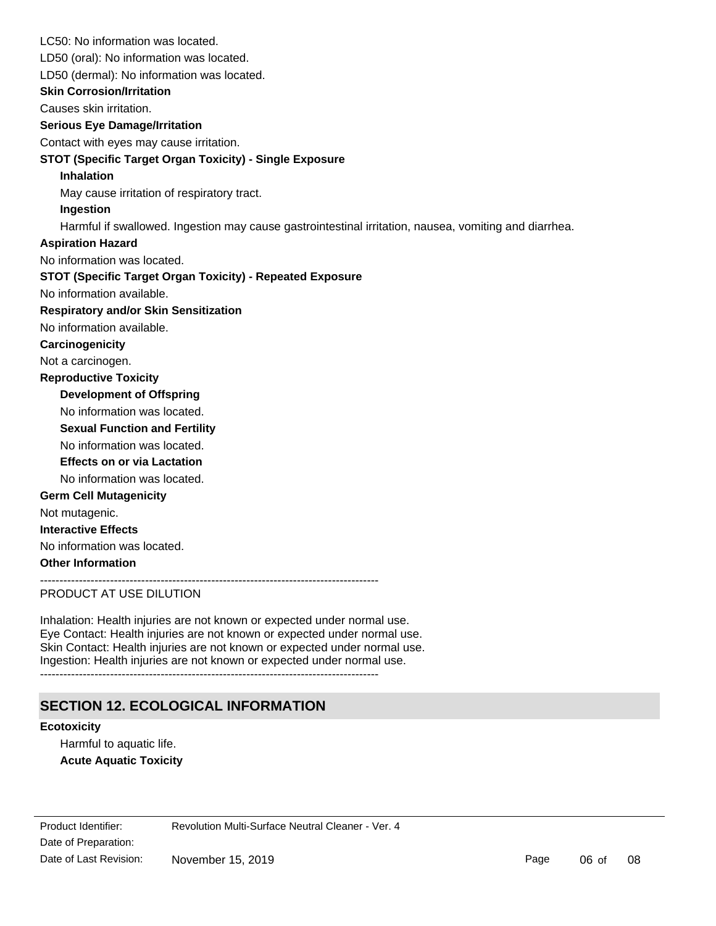LC50: No information was located. LD50 (oral): No information was located. **Skin Corrosion/Irritation** Causes skin irritation. **Serious Eye Damage/Irritation** Contact with eyes may cause irritation. **STOT (Specific Target Organ Toxicity) - Single Exposure Inhalation** May cause irritation of respiratory tract. **Ingestion** Harmful if swallowed. Ingestion may cause gastrointestinal irritation, nausea, vomiting and diarrhea. No information available. **STOT (Specific Target Organ Toxicity) - Repeated Exposure Respiratory and/or Skin Sensitization** No information available. **Carcinogenicity** Not a carcinogen. **Development of Offspring** No information was located. **Reproductive Toxicity** No information was located. **Germ Cell Mutagenicity** Not mutagenic. **Interactive Effects** No information was located. **Other Information** PRODUCT AT USE DILUTION LD50 (dermal): No information was located. **Sexual Function and Fertility Effects on or via Lactation** No information was located. No information was located. **Aspiration Hazard**

Inhalation: Health injuries are not known or expected under normal use. Eye Contact: Health injuries are not known or expected under normal use. Skin Contact: Health injuries are not known or expected under normal use. Ingestion: Health injuries are not known or expected under normal use.

---------------------------------------------------------------------------------------

## **SECTION 12. ECOLOGICAL INFORMATION**

#### **Ecotoxicity**

Harmful to aquatic life. **Acute Aquatic Toxicity**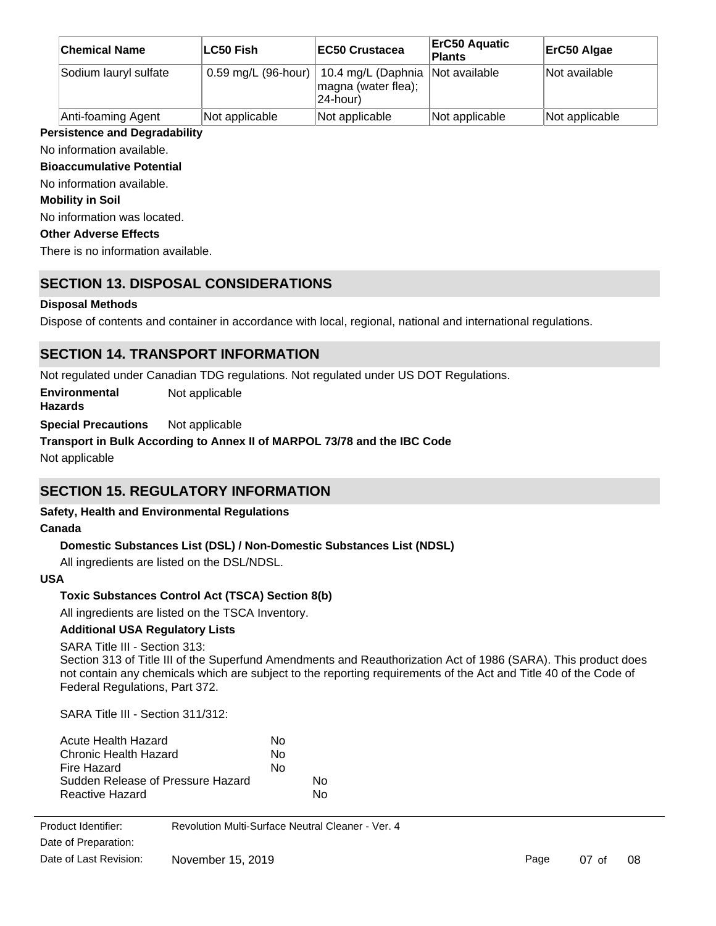| <b>Chemical Name</b>  | <b>LC50 Fish</b>    | <b>IEC50 Crustacea</b>                                | <b>ErC50 Aquatic</b><br><b>Plants</b> | ErC50 Algae    |
|-----------------------|---------------------|-------------------------------------------------------|---------------------------------------|----------------|
| Sodium lauryl sulfate | 0.59 mg/L (96-hour) | 10.4 mg/L (Daphnia<br>magna (water flea);<br>24-hour) | Not available                         | Not available  |
| Anti-foaming Agent    | Not applicable      | Not applicable                                        | Not applicable                        | Not applicable |

## **Persistence and Degradability**

## No information available.

**Bioaccumulative Potential**

No information available.

**Mobility in Soil**

No information was located.

## **Other Adverse Effects**

There is no information available.

## **SECTION 13. DISPOSAL CONSIDERATIONS**

## **Disposal Methods**

Dispose of contents and container in accordance with local, regional, national and international regulations.

## **SECTION 14. TRANSPORT INFORMATION**

Not regulated under Canadian TDG regulations. Not regulated under US DOT Regulations.

**Environmental Hazards** Not applicable

**Special Precautions** Not applicable

## **Transport in Bulk According to Annex II of MARPOL 73/78 and the IBC Code**

Not applicable

## **SECTION 15. REGULATORY INFORMATION**

## **Safety, Health and Environmental Regulations**

## **Canada**

## **Domestic Substances List (DSL) / Non-Domestic Substances List (NDSL)**

All ingredients are listed on the DSL/NDSL.

## **USA**

## **Toxic Substances Control Act (TSCA) Section 8(b)**

All ingredients are listed on the TSCA Inventory.

**Additional USA Regulatory Lists**

## SARA Title III - Section 313:

Section 313 of Title III of the Superfund Amendments and Reauthorization Act of 1986 (SARA). This product does not contain any chemicals which are subject to the reporting requirements of the Act and Title 40 of the Code of Federal Regulations, Part 372.

SARA Title III - Section 311/312:

| Acute Health Hazard               | N٥ |    |
|-----------------------------------|----|----|
| Chronic Health Hazard             | N٥ |    |
| Fire Hazard                       | No |    |
| Sudden Release of Pressure Hazard |    | N٥ |
| Reactive Hazard                   |    | N٥ |